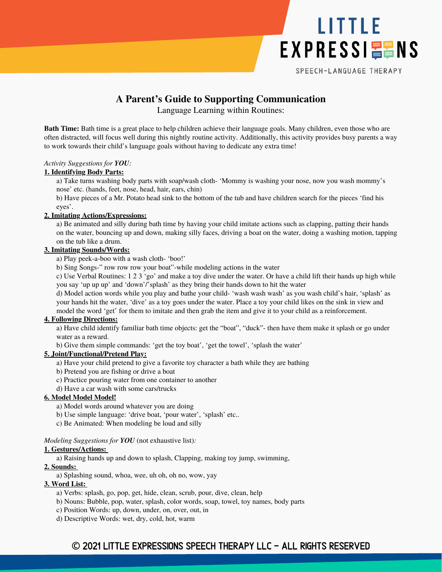

SPEECH-LANGUAGE THERAPY

# **A Parent's Guide to Supporting Communication**

Language Learning within Routines:

**Bath Time:** Bath time is a great place to help children achieve their language goals. Many children, even those who are often distracted, will focus well during this nightly routine activity. Additionally, this activity provides busy parents a way to work towards their child's language goals without having to dedicate any extra time!

### *Activity Suggestions for YOU:*

### **1. Identifying Body Parts:**

a) Take turns washing body parts with soap/wash cloth- 'Mommy is washing your nose, now you wash mommy's nose' etc. (hands, feet, nose, head, hair, ears, chin)

b) Have pieces of a Mr. Potato head sink to the bottom of the tub and have children search for the pieces 'find his eyes'.

# **2. Imitating Actions/Expressions:**

a) Be animated and silly during bath time by having your child imitate actions such as clapping, patting their hands on the water, bouncing up and down, making silly faces, driving a boat on the water, doing a washing motion, tapping on the tub like a drum.

# **3. Imitating Sounds/Words:**

a) Play peek-a-boo with a wash cloth- 'boo!'

b) Sing Songs-" row row row your boat"-while modeling actions in the water

c) Use Verbal Routines: 1 2 3 'go' and make a toy dive under the water. Or have a child lift their hands up high while you say 'up up up' and 'down'/'splash' as they bring their hands down to hit the water

d) Model action words while you play and bathe your child- 'wash wash wash' as you wash child's hair, 'splash' as your hands hit the water, 'dive' as a toy goes under the water. Place a toy your child likes on the sink in view and model the word 'get' for them to imitate and then grab the item and give it to your child as a reinforcement.

# **4. Following Directions:**

a) Have child identify familiar bath time objects: get the "boat", "duck"- then have them make it splash or go under water as a reward.

b) Give them simple commands: 'get the toy boat', 'get the towel', 'splash the water'

# **5. Joint/Functional/Pretend Play:**

- a) Have your child pretend to give a favorite toy character a bath while they are bathing
- b) Pretend you are fishing or drive a boat
- c) Practice pouring water from one container to another
- d) Have a car wash with some cars/trucks

# **6. Model Model Model!**

- a) Model words around whatever you are doing
- b) Use simple language: 'drive boat, 'pour water', 'splash' etc..
- c) Be Animated: When modeling be loud and silly

#### *Modeling Suggestions for YOU* (not exhaustive list)*:*

#### **1. Gestures/Actions:**

a) Raising hands up and down to splash, Clapping, making toy jump, swimming,

# **2. Sounds:**

a) Splashing sound, whoa, wee, uh oh, oh no, wow, yay

# **3. Word List:**

- a) Verbs: splash, go, pop, get, hide, clean, scrub, pour, dive, clean, help
- b) Nouns: Bubble, pop, water, splash, color words, soap, towel, toy names, body parts
- c) Position Words: up, down, under, on, over, out, in
- d) Descriptive Words: wet, dry, cold, hot, warm

# **©** 2021 Little Expressions Speech Therapy LLC - All Rights Reserved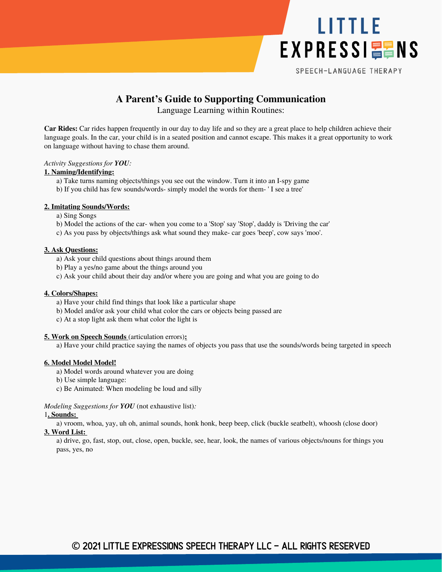

SPEECH-LANGUAGE THERAPY

# **A Parent's Guide to Supporting Communication**

Language Learning within Routines:

**Car Rides:** Car rides happen frequently in our day to day life and so they are a great place to help children achieve their language goals. In the car, your child is in a seated position and cannot escape. This makes it a great opportunity to work on language without having to chase them around.

#### *Activity Suggestions for YOU:*

### **1. Naming/Identifying:**

- a) Take turns naming objects/things you see out the window. Turn it into an I-spy game
- b) If you child has few sounds/words- simply model the words for them- ' I see a tree'

# **2. Imitating Sounds/Words:**

- a) Sing Songs
- b) Model the actions of the car- when you come to a 'Stop' say 'Stop', daddy is 'Driving the car'
- c) As you pass by objects/things ask what sound they make- car goes 'beep', cow says 'moo'.

# **3. Ask Questions:**

- a) Ask your child questions about things around them
- b) Play a yes/no game about the things around you
- c) Ask your child about their day and/or where you are going and what you are going to do

#### **4. Colors/Shapes:**

- a) Have your child find things that look like a particular shape
- b) Model and/or ask your child what color the cars or objects being passed are
- c) At a stop light ask them what color the light is

#### **5. Work on Speech Sounds** (articulation errors)**:**

a) Have your child practice saying the names of objects you pass that use the sounds/words being targeted in speech

#### **6. Model Model Model!**

- a) Model words around whatever you are doing
- b) Use simple language:
- c) Be Animated: When modeling be loud and silly

#### *Modeling Suggestions for YOU* (not exhaustive list)*:*

#### 1**. Sounds:**

a) vroom, whoa, yay, uh oh, animal sounds, honk honk, beep beep, click (buckle seatbelt), whoosh (close door) **3. Word List:**

a) drive, go, fast, stop, out, close, open, buckle, see, hear, look, the names of various objects/nouns for things you pass, yes, no

# **©** 2021 Little Expressions Speech Therapy LLC - All Rights Reserved